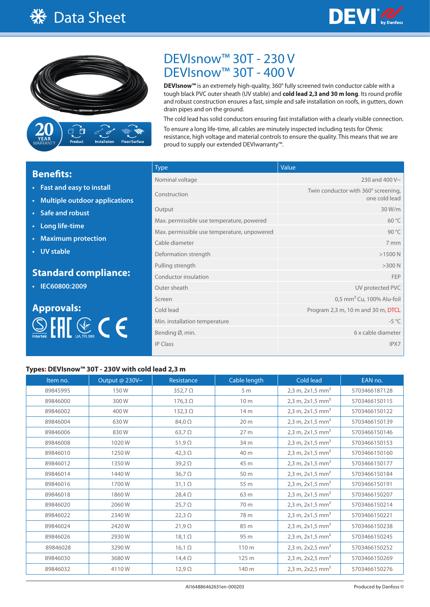



# DEVIsnow™ 30T - 230 V DEVIsnow™ 30T - 400 V

**DEVIsnow™** is an extremely high-quality, 360° fully screened twin conductor cable with a tough black PVC outer sheath (UV stable) and **cold lead 2,3 and 30 m long**. Its round profile and robust construction ensures a fast, simple and safe installation on roofs, in gutters, down drain pipes and on the ground.

The cold lead has solid conductors ensuring fast installation with a clearly visible connection. To ensure a long life-time, all cables are minutely inspected including tests for Ohmic resistance, high voltage and material controls to ensure the quality. This means that we are proud to supply our extended DEVIwarranty™.

# **Benefits:**

- **• Fast and easy to install**
- **• Multiple outdoor applications**
- **• Safe and robust**
- **• Long life-time**
- **• Maximum protection**
- **• UV stable**

## **Standard compliance:**

**• IEC60800:2009**



| <b>Type</b>                                 | Value                                                |
|---------------------------------------------|------------------------------------------------------|
| Nominal voltage                             | 230 and 400 V~                                       |
| Construction                                | Twin conductor with 360° screening,<br>one cold lead |
| Output                                      | 30 W/m                                               |
| Max. permissible use temperature, powered   | $60^{\circ}$ C                                       |
| Max. permissible use temperature, unpowered | 90 °C                                                |
| Cable diameter                              | 7 mm                                                 |
| Deformation strength                        | $>1500$ N                                            |
| Pulling strength                            | $>300$ N                                             |
| Conductor insulation                        | <b>FEP</b>                                           |
| Outer sheath                                | UV protected PVC                                     |
| Screen                                      | 0,5 mm <sup>2</sup> Cu, 100% Alu-foil                |
| Cold lead                                   | Program 2,3 m, 10 m and 30 m, DTCL                   |
| Min. installation temperature               | $-5^{\circ}$ C                                       |
| Bending Ø, min.                             | 6 x cable diameter                                   |
| <b>IP Class</b>                             | IPX7                                                 |

#### **Types: DEVIsnow™ 30T - 230V with cold lead 2,3 m**

| Item no. | Output @ 230V~ | Resistance     | Cable length    | Cold lead                      | EAN no.       |
|----------|----------------|----------------|-----------------|--------------------------------|---------------|
| 89845995 | 150W           | $352,7 \Omega$ | 5 <sub>m</sub>  | 2,3 m, 2x1,5 mm <sup>2</sup>   | 5703466187128 |
| 89846000 | 300W           | $176,3 \Omega$ | 10 <sub>m</sub> | 2,3 m, 2x1,5 mm <sup>2</sup>   | 5703466150115 |
| 89846002 | 400W           | $132,3 \Omega$ | 14 m            | 2,3 m, 2x1,5 mm <sup>2</sup>   | 5703466150122 |
| 89846004 | 630W           | $84,0\Omega$   | 20 m            | 2,3 m, $2x1,5$ mm <sup>2</sup> | 5703466150139 |
| 89846006 | 830W           | $63,7 \Omega$  | 27 m            | 2,3 m, $2x1,5$ mm <sup>2</sup> | 5703466150146 |
| 89846008 | 1020W          | $51,9 \Omega$  | 34 m            | 2,3 m, $2x1,5$ mm <sup>2</sup> | 5703466150153 |
| 89846010 | 1250W          | 42,3 $\Omega$  | 40 m            | 2,3 m, $2x1,5$ mm <sup>2</sup> | 5703466150160 |
| 89846012 | 1350W          | $39,2 \Omega$  | 45 m            | 2,3 m, $2x1,5$ mm <sup>2</sup> | 5703466150177 |
| 89846014 | 1440W          | $36,7 \Omega$  | 50 m            | 2,3 m, $2x1,5$ mm <sup>2</sup> | 5703466150184 |
| 89846016 | 1700W          | $31,1 \Omega$  | 55 m            | 2,3 m, $2x1,5$ mm <sup>2</sup> | 5703466150191 |
| 89846018 | 1860W          | $28,4 \Omega$  | 63 m            | 2,3 m, $2x1,5$ mm <sup>2</sup> | 5703466150207 |
| 89846020 | 2060W          | $25,7 \Omega$  | 70 m            | 2,3 m, $2x1,5$ mm <sup>2</sup> | 5703466150214 |
| 89846022 | 2340W          | $22,3 \Omega$  | 78 m            | 2,3 m, $2x1,5$ mm <sup>2</sup> | 5703466150221 |
| 89846024 | 2420W          | $21,9 \Omega$  | 85 m            | 2,3 m, $2x1,5$ mm <sup>2</sup> | 5703466150238 |
| 89846026 | 2930W          | $18,1 \Omega$  | 95 m            | 2,3 m, $2x1,5$ mm <sup>2</sup> | 5703466150245 |
| 89846028 | 3290W          | $16, 1 \Omega$ | 110 m           | 2,3 m, $2x2,5$ mm <sup>2</sup> | 5703466150252 |
| 89846030 | 3680W          | $14,4 \Omega$  | 125 m           | 2,3 m, 2x2,5 mm <sup>2</sup>   | 5703466150269 |
| 89846032 | 4110W          | $12,9 \Omega$  | 140 m           | 2,3 m, 2x2,5 mm <sup>2</sup>   | 5703466150276 |